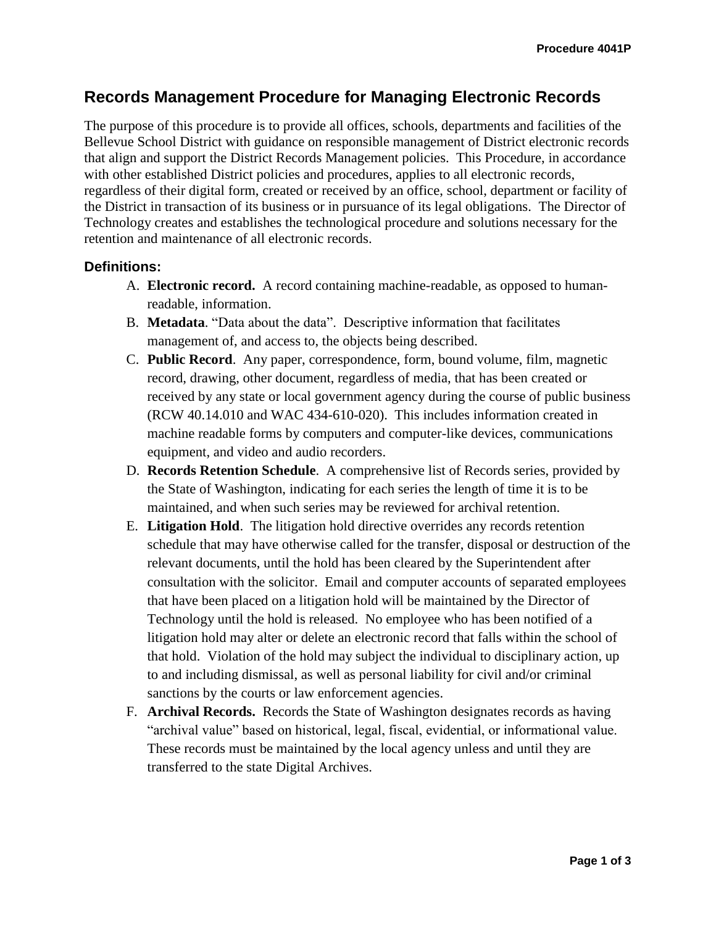# **Records Management Procedure for Managing Electronic Records**

The purpose of this procedure is to provide all offices, schools, departments and facilities of the Bellevue School District with guidance on responsible management of District electronic records that align and support the District Records Management policies. This Procedure, in accordance with other established District policies and procedures, applies to all electronic records, regardless of their digital form, created or received by an office, school, department or facility of the District in transaction of its business or in pursuance of its legal obligations. The Director of Technology creates and establishes the technological procedure and solutions necessary for the retention and maintenance of all electronic records.

#### **Definitions:**

- A. **Electronic record.**A record containing machine-readable, as opposed to humanreadable, information.
- B. **Metadata**. "Data about the data". Descriptive information that facilitates management of, and access to, the objects being described.
- C. **Public Record**.Any paper, correspondence, form, bound volume, film, magnetic record, drawing, other document, regardless of media, that has been created or received by any state or local government agency during the course of public business (RCW 40.14.010 and WAC 434-610-020). This includes information created in machine readable forms by computers and computer-like devices, communications equipment, and video and audio recorders.
- D. **Records Retention Schedule**.A comprehensive list of Records series, provided by the State of Washington, indicating for each series the length of time it is to be maintained, and when such series may be reviewed for archival retention.
- E. **Litigation Hold**.The litigation hold directive overrides any records retention schedule that may have otherwise called for the transfer, disposal or destruction of the relevant documents, until the hold has been cleared by the Superintendent after consultation with the solicitor. Email and computer accounts of separated employees that have been placed on a litigation hold will be maintained by the Director of Technology until the hold is released. No employee who has been notified of a litigation hold may alter or delete an electronic record that falls within the school of that hold. Violation of the hold may subject the individual to disciplinary action, up to and including dismissal, as well as personal liability for civil and/or criminal sanctions by the courts or law enforcement agencies.
- F. **Archival Records.**Records the State of Washington designates records as having "archival value" based on historical, legal, fiscal, evidential, or informational value. These records must be maintained by the local agency unless and until they are transferred to the state Digital Archives.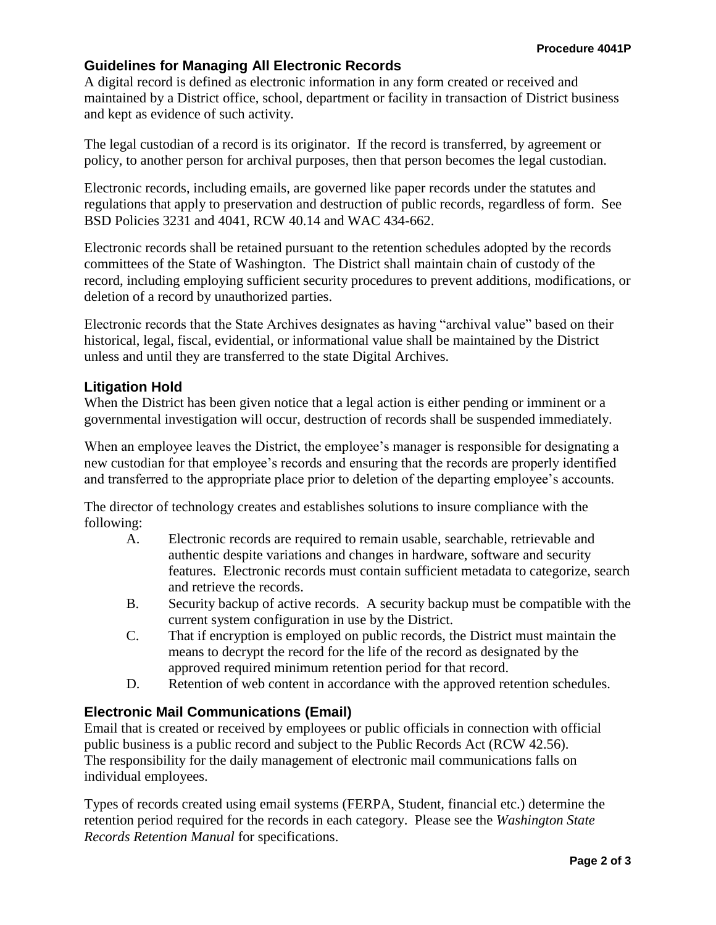## **Guidelines for Managing All Electronic Records**

A digital record is defined as electronic information in any form created or received and maintained by a District office, school, department or facility in transaction of District business and kept as evidence of such activity.

The legal custodian of a record is its originator. If the record is transferred, by agreement or policy, to another person for archival purposes, then that person becomes the legal custodian.

Electronic records, including emails, are governed like paper records under the statutes and regulations that apply to preservation and destruction of public records, regardless of form. See BSD Policies 3231 and 4041, RCW 40.14 and WAC 434-662.

Electronic records shall be retained pursuant to the retention schedules adopted by the records committees of the State of Washington. The District shall maintain chain of custody of the record, including employing sufficient security procedures to prevent additions, modifications, or deletion of a record by unauthorized parties.

Electronic records that the State Archives designates as having "archival value" based on their historical, legal, fiscal, evidential, or informational value shall be maintained by the District unless and until they are transferred to the state Digital Archives.

#### **Litigation Hold**

When the District has been given notice that a legal action is either pending or imminent or a governmental investigation will occur, destruction of records shall be suspended immediately.

When an employee leaves the District, the employee's manager is responsible for designating a new custodian for that employee's records and ensuring that the records are properly identified and transferred to the appropriate place prior to deletion of the departing employee's accounts.

The director of technology creates and establishes solutions to insure compliance with the following:

- A. Electronic records are required to remain usable, searchable, retrievable and authentic despite variations and changes in hardware, software and security features. Electronic records must contain sufficient metadata to categorize, search and retrieve the records.
- B. Security backup of active records. A security backup must be compatible with the current system configuration in use by the District.
- C. That if encryption is employed on public records, the District must maintain the means to decrypt the record for the life of the record as designated by the approved required minimum retention period for that record.
- D. Retention of web content in accordance with the approved retention schedules.

### **Electronic Mail Communications (Email)**

Email that is created or received by employees or public officials in connection with official public business is a public record and subject to the Public Records Act (RCW 42.56). The responsibility for the daily management of electronic mail communications falls on individual employees.

Types of records created using email systems (FERPA, Student, financial etc.) determine the retention period required for the records in each category. Please see the *Washington State Records Retention Manual* for specifications.